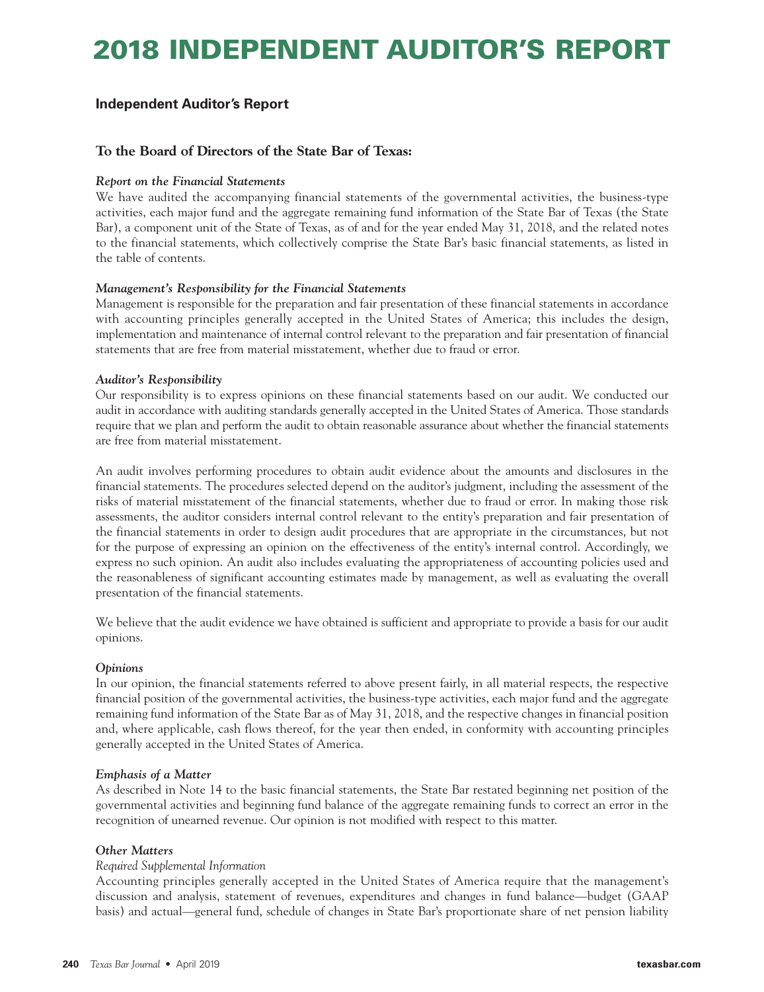# **2018 INDEPENDENT AUDITOR'S REPORT**

### **Independent Auditor's Report**

### **To the Board of Directors of the State Bar of Texas:**

### *Report on the Financial Statements*

We have audited the accompanying financial statements of the governmental activities, the business-type activities, each major fund and the aggregate remaining fund information of the State Bar of Texas (the State Bar), a component unit of the State of Texas, as of and for the year ended May 31, 2018, and the related notes to the financial statements, which collectively comprise the State Bar's basic financial statements, as listed in the table of contents.

### *Management's Responsibility for the Financial Statements*

Management is responsible for the preparation and fair presentation of these financial statements in accordance with accounting principles generally accepted in the United States of America; this includes the design, implementation and maintenance of internal control relevant to the preparation and fair presentation of financial statements that are free from material misstatement, whether due to fraud or error.

### *Auditor's Responsibility*

Our responsibility is to express opinions on these financial statements based on our audit. We conducted our audit in accordance with auditing standards generally accepted in the United States of America. Those standards require that we plan and perform the audit to obtain reasonable assurance about whether the financial statements are free from material misstatement.

An audit involves performing procedures to obtain audit evidence about the amounts and disclosures in the financial statements. The procedures selected depend on the auditor's judgment, including the assessment of the risks of material misstatement of the financial statements, whether due to fraud or error. In making those risk assessments, the auditor considers internal control relevant to the entity's preparation and fair presentation of the financial statements in order to design audit procedures that are appropriate in the circumstances, but not for the purpose of expressing an opinion on the effectiveness of the entity's internal control. Accordingly, we express no such opinion. An audit also includes evaluating the appropriateness of accounting policies used and the reasonableness of significant accounting estimates made by management, as well as evaluating the overall presentation of the financial statements.

We believe that the audit evidence we have obtained is sufficient and appropriate to provide a basis for our audit opinions.

### *Opinions*

In our opinion, the financial statements referred to above present fairly, in all material respects, the respective financial position of the governmental activities, the business-type activities, each major fund and the aggregate remaining fund information of the State Bar as of May 31, 2018, and the respective changes in financial position and, where applicable, cash flows thereof, for the year then ended, in conformity with accounting principles generally accepted in the United States of America.

### *Emphasis of a Matter*

As described in Note 14 to the basic financial statements, the State Bar restated beginning net position of the governmental activities and beginning fund balance of the aggregate remaining funds to correct an error in the recognition of unearned revenue. Our opinion is not modified with respect to this matter.

### *Other Matters*

### *Required Supplemental Information*

Accounting principles generally accepted in the United States of America require that the management's discussion and analysis, statement of revenues, expenditures and changes in fund balance—budget (GAAP basis) and actual—general fund, schedule of changes in State Bar's proportionate share of net pension liability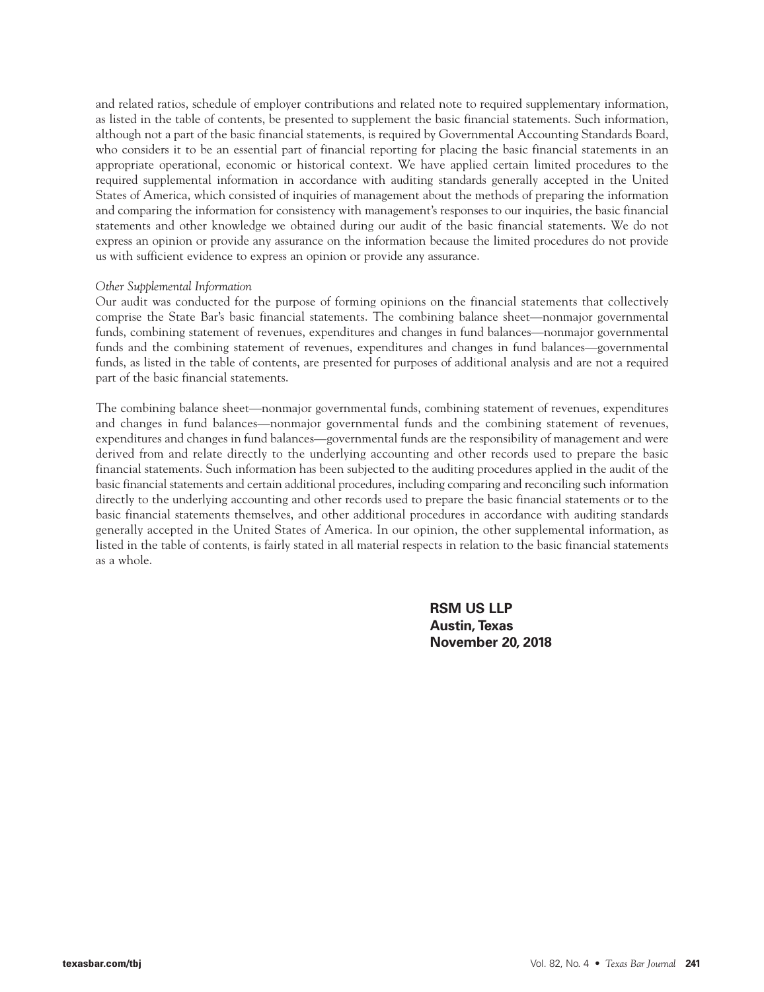and related ratios, schedule of employer contributions and related note to required supplementary information, as listed in the table of contents, be presented to supplement the basic financial statements. Such information, although not a part of the basic financial statements, is required by Governmental Accounting Standards Board, who considers it to be an essential part of financial reporting for placing the basic financial statements in an appropriate operational, economic or historical context. We have applied certain limited procedures to the required supplemental information in accordance with auditing standards generally accepted in the United States of America, which consisted of inquiries of management about the methods of preparing the information and comparing the information for consistency with management's responses to our inquiries, the basic financial statements and other knowledge we obtained during our audit of the basic financial statements. We do not express an opinion or provide any assurance on the information because the limited procedures do not provide us with sufficient evidence to express an opinion or provide any assurance.

#### *Other Supplemental Information*

Our audit was conducted for the purpose of forming opinions on the financial statements that collectively comprise the State Bar's basic financial statements. The combining balance sheet—nonmajor governmental funds, combining statement of revenues, expenditures and changes in fund balances—nonmajor governmental funds and the combining statement of revenues, expenditures and changes in fund balances—governmental funds, as listed in the table of contents, are presented for purposes of additional analysis and are not a required part of the basic financial statements.

The combining balance sheet—nonmajor governmental funds, combining statement of revenues, expenditures and changes in fund balances—nonmajor governmental funds and the combining statement of revenues, expenditures and changes in fund balances—governmental funds are the responsibility of management and were derived from and relate directly to the underlying accounting and other records used to prepare the basic financial statements. Such information has been subjected to the auditing procedures applied in the audit of the basic financial statements and certain additional procedures, including comparing and reconciling such information directly to the underlying accounting and other records used to prepare the basic financial statements or to the basic financial statements themselves, and other additional procedures in accordance with auditing standards generally accepted in the United States of America. In our opinion, the other supplemental information, as listed in the table of contents, is fairly stated in all material respects in relation to the basic financial statements as a whole.

> **RSM US LLP Austin, Texas November 20, 2018**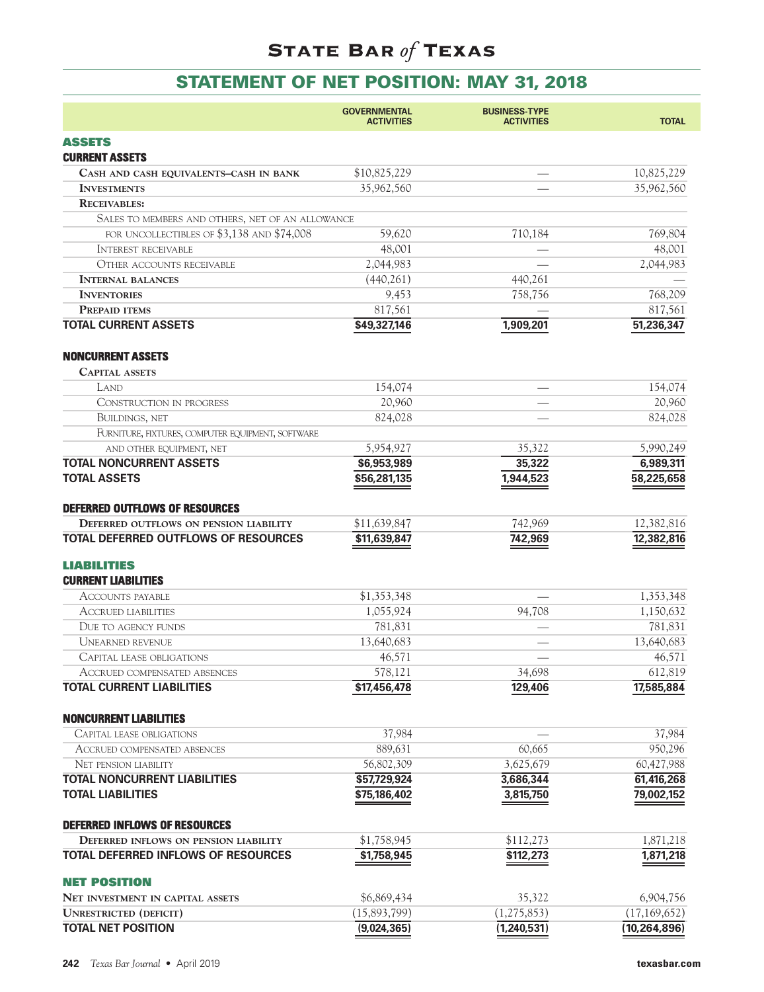## **STATEMENT OF NET POSITION: MAY 31, 2018**

|                                                                 | <b>GOVERNMENTAL</b><br><b>ACTIVITIES</b> | <b>BUSINESS-TYPE</b><br><b>ACTIVITIES</b> | <b>TOTAL</b>             |
|-----------------------------------------------------------------|------------------------------------------|-------------------------------------------|--------------------------|
| <b>ASSETS</b><br><b>CURRENT ASSETS</b>                          |                                          |                                           |                          |
| CASH AND CASH EQUIVALENTS-CASH IN BANK                          | \$10,825,229                             |                                           | 10,825,229               |
| <b>INVESTMENTS</b>                                              | 35,962,560                               |                                           | 35,962,560               |
| <b>RECEIVABLES:</b>                                             |                                          |                                           |                          |
| SALES TO MEMBERS AND OTHERS, NET OF AN ALLOWANCE                |                                          |                                           |                          |
| FOR UNCOLLECTIBLES OF \$3,138 AND \$74,008                      | 59,620                                   | 710,184                                   | 769,804                  |
| <b>INTEREST RECEIVABLE</b>                                      | 48,001                                   |                                           | 48,001                   |
| <b>OTHER ACCOUNTS RECEIVABLE</b>                                | 2,044,983                                |                                           | 2,044,983                |
| <b>INTERNAL BALANCES</b>                                        | (440, 261)                               | 440,261                                   |                          |
| <b>INVENTORIES</b>                                              | 9,453                                    | 758,756                                   | 768,209                  |
| <b>PREPAID ITEMS</b>                                            | 817,561                                  |                                           | 817,561                  |
| <b>TOTAL CURRENT ASSETS</b>                                     | \$49,327,146                             | 1,909,201                                 | 51,236,347               |
| <b>NONCURRENT ASSETS</b>                                        |                                          |                                           |                          |
| <b>CAPITAL ASSETS</b>                                           |                                          |                                           |                          |
| LAND                                                            | 154,074                                  |                                           | 154,074                  |
| CONSTRUCTION IN PROGRESS                                        | 20,960                                   |                                           | 20,960                   |
| <b>BUILDINGS, NET</b>                                           | 824,028                                  |                                           | 824,028                  |
| FURNITURE, FIXTURES, COMPUTER EQUIPMENT, SOFTWARE               |                                          |                                           |                          |
| AND OTHER EQUIPMENT, NET                                        | 5,954,927                                | 35,322                                    | 5,990,249                |
| <b>TOTAL NONCURRENT ASSETS</b><br><b>TOTAL ASSETS</b>           | \$6,953,989<br>\$56,281,135              | 35,322<br>1,944,523                       | 6,989,311<br>58,225,658  |
| DEFERRED OUTFLOWS OF RESOURCES                                  |                                          |                                           |                          |
| DEFERRED OUTFLOWS ON PENSION LIABILITY                          | \$11,639,847                             | 742,969                                   | 12,382,816               |
| TOTAL DEFERRED OUTFLOWS OF RESOURCES                            | \$11,639,847                             | 742,969                                   | 12,382,816               |
| <b>LIABILITIES</b>                                              |                                          |                                           |                          |
| <b>CURRENT LIABILITIES</b>                                      |                                          |                                           |                          |
| <b>ACCOUNTS PAYABLE</b>                                         | \$1,353,348                              |                                           | 1,353,348                |
| <b>ACCRUED LIABILITIES</b>                                      | 1,055,924                                | 94,708                                    | 1,150,632                |
| DUE TO AGENCY FUNDS                                             | 781,831                                  |                                           | 781,831                  |
| <b>UNEARNED REVENUE</b>                                         | 13,640,683                               |                                           | 13,640,683               |
| CAPITAL LEASE OBLIGATIONS                                       | 46,571                                   |                                           | 46,571                   |
| <b>ACCRUED COMPENSATED ABSENCES</b>                             | 578,121                                  | 34,698                                    | 612,819                  |
| <b>TOTAL CURRENT LIABILITIES</b>                                | \$17,456,478                             | 129,406                                   | 17,585,884               |
| <b>NONCURRENT LIABILITIES</b>                                   |                                          |                                           |                          |
| CAPITAL LEASE OBLIGATIONS                                       | 37,984                                   |                                           | 37,984                   |
| <b>ACCRUED COMPENSATED ABSENCES</b>                             | 889,631                                  | 60,665                                    | 950,296                  |
| <b>NET PENSION LIABILITY</b>                                    | 56,802,309                               | 3,625,679                                 | 60,427,988               |
| <b>TOTAL NONCURRENT LIABILITIES</b><br><b>TOTAL LIABILITIES</b> | \$57,729,924<br>\$75,186,402             | 3,686,344<br>3,815,750                    | 61,416,268<br>79,002,152 |
| <b>DEFERRED INFLOWS OF RESOURCES</b>                            |                                          |                                           |                          |
| DEFERRED INFLOWS ON PENSION LIABILITY                           | \$1,758,945                              | \$112,273                                 | 1,871,218                |
| TOTAL DEFERRED INFLOWS OF RESOURCES                             | \$1,758,945                              | $\overline{$}112,273$                     | 1,871,218                |
| <b>NET POSITION</b>                                             |                                          |                                           |                          |
| <b>NET INVESTMENT IN CAPITAL ASSETS</b>                         | \$6,869,434                              | 35,322                                    | 6,904,756                |
| <b>UNRESTRICTED (DEFICIT)</b>                                   | (15,893,799)                             | (1, 275, 853)                             | (17, 169, 652)           |
| <b>TOTAL NET POSITION</b>                                       | (9,024,365)                              | (1, 240, 531)                             | (10, 264, 896)           |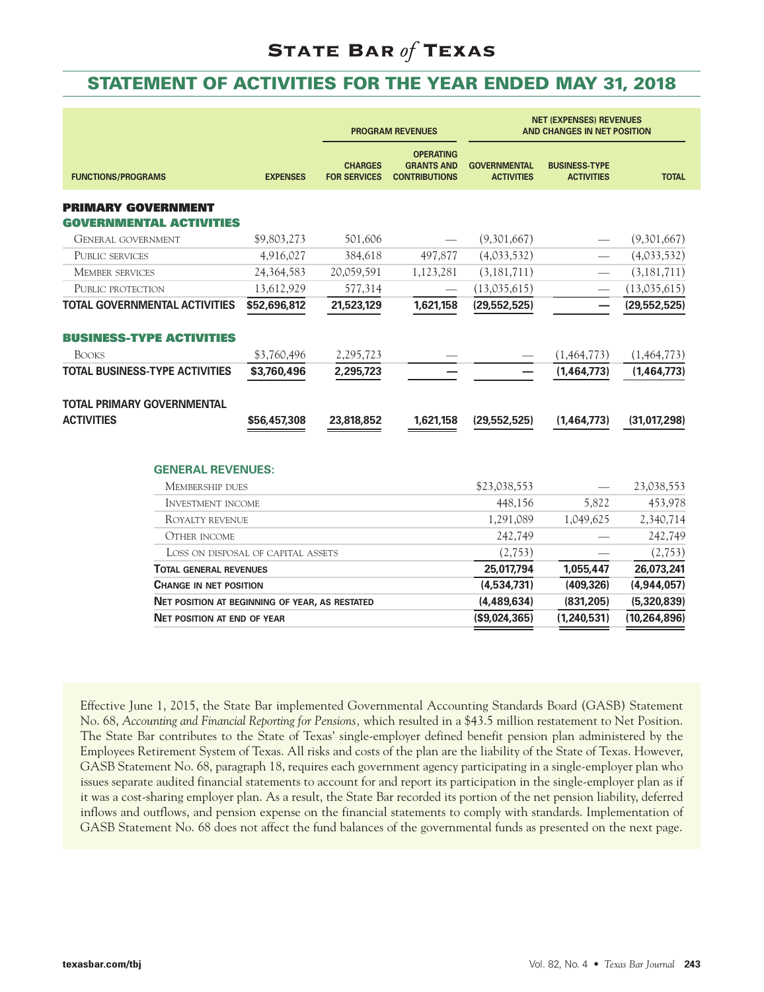### **STATEMENT OF ACTIVITIES FOR THE YEAR ENDED MAY 31, 2018**

|                                                       |                 |                                       | <b>PROGRAM REVENUES</b>                                       | <b>NET (EXPENSES) REVENUES</b><br>AND CHANGES IN NET POSITION |                                           |                |
|-------------------------------------------------------|-----------------|---------------------------------------|---------------------------------------------------------------|---------------------------------------------------------------|-------------------------------------------|----------------|
| <b>FUNCTIONS/PROGRAMS</b>                             | <b>EXPENSES</b> | <b>CHARGES</b><br><b>FOR SERVICES</b> | <b>OPERATING</b><br><b>GRANTS AND</b><br><b>CONTRIBUTIONS</b> | <b>GOVERNMENTAL</b><br><b>ACTIVITIES</b>                      | <b>BUSINESS-TYPE</b><br><b>ACTIVITIES</b> | <b>TOTAL</b>   |
| PRIMARY GOVERNMENT<br>GOVERNMENTAL ACTIVITIES         |                 |                                       |                                                               |                                                               |                                           |                |
| <b>GENERAL GOVERNMENT</b>                             | \$9,803,273     | 501,606                               |                                                               | (9,301,667)                                                   |                                           | (9,301,667)    |
| PUBLIC SERVICES                                       | 4,916,027       | 384,618                               | 497,877                                                       | (4,033,532)                                                   |                                           | (4,033,532)    |
| <b>MEMBER SERVICES</b>                                | 24,364,583      | 20,059,591                            | 1,123,281                                                     | (3, 181, 711)                                                 |                                           | (3, 181, 711)  |
| PUBLIC PROTECTION                                     | 13,612,929      | 577,314                               |                                                               | (13,035,615)                                                  |                                           | (13,035,615)   |
| TOTAL GOVERNMENTAL ACTIVITIES                         | \$52,696,812    | 21,523,129                            | 1,621,158                                                     | (29, 552, 525)                                                |                                           | (29, 552, 525) |
| <b>BUSINESS-TYPE ACTIVITIES</b>                       |                 |                                       |                                                               |                                                               |                                           |                |
| <b>BOOKS</b>                                          | \$3,760,496     | 2,295,723                             |                                                               |                                                               | (1,464,773)                               | (1,464,773)    |
| TOTAL BUSINESS-TYPE ACTIVITIES                        | \$3,760,496     | 2,295,723                             |                                                               |                                                               | (1,464,773)                               | (1,464,773)    |
| TOTAL PRIMARY GOVERNMENTAL                            |                 |                                       |                                                               |                                                               |                                           |                |
| <b>ACTIVITIES</b>                                     | \$56,457,308    | 23,818,852                            | 1,621,158                                                     | (29, 552, 525)                                                | (1,464,773)                               | (31,017,298)   |
|                                                       |                 |                                       |                                                               |                                                               |                                           |                |
| <b>GENERAL REVENUES:</b><br><b>MEMBERSHIP DUES</b>    |                 |                                       |                                                               | \$23,038,553                                                  |                                           | 23,038,553     |
| <b>INVESTMENT INCOME</b>                              |                 |                                       |                                                               | 448,156                                                       | 5,822                                     | 453,978        |
| ROYALTY REVENUE                                       |                 |                                       |                                                               | 1,291,089                                                     | 1,049,625                                 | 2,340,714      |
| <b>OTHER INCOME</b>                                   |                 |                                       |                                                               | 242,749                                                       |                                           | 242,749        |
| LOSS ON DISPOSAL OF CAPITAL ASSETS                    |                 |                                       |                                                               | (2,753)                                                       |                                           | (2,753)        |
| <b>TOTAL GENERAL REVENUES</b>                         |                 |                                       |                                                               | 25,017,794                                                    | 1,055,447                                 | 26,073,241     |
| <b>CHANGE IN NET POSITION</b>                         |                 |                                       |                                                               | (4,534,731)                                                   | (409, 326)                                | (4,944,057)    |
| <b>NET POSITION AT BEGINNING OF YEAR, AS RESTATED</b> |                 |                                       |                                                               | (4,489,634)                                                   | (831, 205)                                | (5,320,839)    |
| <b>NET POSITION AT END OF YEAR</b>                    |                 |                                       |                                                               | (S9,024,365)                                                  | (1, 240, 531)                             | (10, 264, 896) |
|                                                       |                 |                                       |                                                               |                                                               |                                           |                |

Effective June 1, 2015, the State Bar implemented Governmental Accounting Standards Board (GASB) Statement No. 68, *Accounting and Financial Reporting for Pensions,* which resulted in a \$43.5 million restatement to Net Position. The State Bar contributes to the State of Texas' single-employer defined benefit pension plan administered by the Employees Retirement System of Texas. All risks and costs of the plan are the liability of the State of Texas. However, GASB Statement No. 68, paragraph 18, requires each government agency participating in a single-employer plan who issues separate audited financial statements to account for and report its participation in the single-employer plan as if it was a cost-sharing employer plan. As a result, the State Bar recorded its portion of the net pension liability, deferred inflows and outflows, and pension expense on the financial statements to comply with standards. Implementation of GASB Statement No. 68 does not affect the fund balances of the governmental funds as presented on the next page.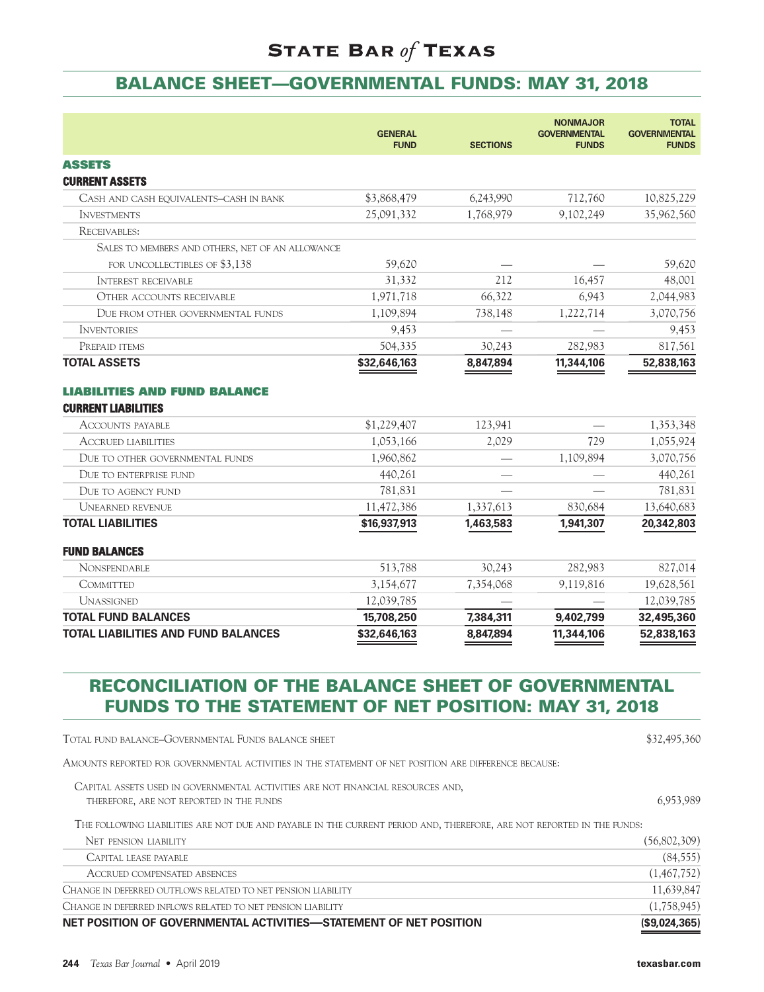### **BALANCE SHEET—GOVERNMENTAL FUNDS: MAY 31, 2018**

|                                                                                                                           | <b>GENERAL</b><br><b>FUND</b> | <b>SECTIONS</b> | <b>NONMAJOR</b><br><b>GOVERNMENTAL</b><br><b>FUNDS</b> | <b>TOTAL</b><br><b>GOVERNMENTAL</b><br><b>FUNDS</b> |
|---------------------------------------------------------------------------------------------------------------------------|-------------------------------|-----------------|--------------------------------------------------------|-----------------------------------------------------|
| <b>ASSETS</b>                                                                                                             |                               |                 |                                                        |                                                     |
| <b>CURRENT ASSETS</b>                                                                                                     |                               |                 |                                                        |                                                     |
| CASH AND CASH EQUIVALENTS-CASH IN BANK                                                                                    | \$3,868,479                   | 6,243,990       | 712,760                                                | 10,825,229                                          |
| <b>INVESTMENTS</b>                                                                                                        | 25,091,332                    | 1,768,979       | 9,102,249                                              | 35,962,560                                          |
| RECEIVABLES:                                                                                                              |                               |                 |                                                        |                                                     |
| SALES TO MEMBERS AND OTHERS, NET OF AN ALLOWANCE                                                                          |                               |                 |                                                        |                                                     |
| FOR UNCOLLECTIBLES OF \$3,138                                                                                             | 59,620                        |                 |                                                        | 59,620                                              |
| <b>INTEREST RECEIVABLE</b>                                                                                                | 31,332                        | 212             | 16,457                                                 | 48,001                                              |
| <b>OTHER ACCOUNTS RECEIVABLE</b>                                                                                          | 1,971,718                     | 66,322          | 6,943                                                  | 2,044,983                                           |
| DUE FROM OTHER GOVERNMENTAL FUNDS                                                                                         | 1,109,894                     | 738,148         | 1,222,714                                              | 3,070,756                                           |
| <b>INVENTORIES</b>                                                                                                        | 9,453                         |                 |                                                        | 9,453                                               |
| PREPAID ITEMS                                                                                                             | 504,335                       | 30,243          | 282,983                                                | 817,561                                             |
| <b>TOTAL ASSETS</b>                                                                                                       | \$32,646,163                  | 8,847,894       | 11,344,106                                             | 52,838,163                                          |
| <b>LIABILITIES AND FUND BALANCE</b>                                                                                       |                               |                 |                                                        |                                                     |
| <b>CURRENT LIABILITIES</b>                                                                                                |                               |                 |                                                        |                                                     |
| ACCOUNTS PAYABLE                                                                                                          | \$1,229,407                   | 123,941         |                                                        | 1,353,348                                           |
| <b>ACCRUED LIABILITIES</b>                                                                                                | 1,053,166                     | 2,029           | 729                                                    | 1,055,924                                           |
| DUE TO OTHER GOVERNMENTAL FUNDS                                                                                           | 1,960,862                     |                 | 1,109,894                                              | 3,070,756                                           |
| DUE TO ENTERPRISE FUND                                                                                                    | 440,261                       |                 |                                                        | 440,261                                             |
| DUE TO AGENCY FUND                                                                                                        | 781,831                       |                 |                                                        | 781,831                                             |
| <b>UNEARNED REVENUE</b>                                                                                                   | 11,472,386                    | 1,337,613       | 830,684                                                | 13,640,683                                          |
| <b>TOTAL LIABILITIES</b>                                                                                                  | \$16,937,913                  | 1,463,583       | 1,941,307                                              | 20,342,803                                          |
| <b>FUND BALANCES</b>                                                                                                      |                               |                 |                                                        |                                                     |
| <b>NONSPENDABLE</b>                                                                                                       | 513,788                       | 30,243          | 282,983                                                | 827,014                                             |
| COMMITTED                                                                                                                 | 3,154,677                     | 7,354,068       | 9,119,816                                              | 19,628,561                                          |
| <b>UNASSIGNED</b>                                                                                                         | 12,039,785                    |                 |                                                        | 12,039,785                                          |
| <b>TOTAL FUND BALANCES</b>                                                                                                | 15,708,250                    | 7,384,311       | 9,402,799                                              | 32,495,360                                          |
| <b>TOTAL LIABILITIES AND FUND BALANCES</b>                                                                                | \$32,646,163                  | 8,847,894       | 11,344,106                                             | 52,838,163                                          |
| <b>RECONCILIATION OF THE BALANCE SHEET OF GOVERNMENTAL</b><br><b>FUNDS TO THE STATEMENT OF NET POSITION: MAY 31, 2018</b> |                               |                 |                                                        |                                                     |

TOTAL FUND BALANCE–GOVERNMENTAL FUNDS BALANCE SHEET \$32,495,360

AMOUNTS REPORTED FOR GOVERNMENTAL ACTIVITIES IN THE STATEMENT OF NET POSITION ARE DIFFERENCE BECAUSE:

CAPITAL ASSETS USED IN GOVERNMENTAL ACTIVITIES ARE NOT FINANCIAL RESOURCES AND, THEREFORE, ARE NOT REPORTED IN THE FUNDS 6,953,989 (SEE ALL ASSESSED FOR A SET ASSESSED FOR A SET AND REPORTED IN THE FUNDS

THE FOLLOWING LIABILITIES ARE NOT DUE AND PAYABLE IN THE CURRENT PERIOD AND, THEREFORE, ARE NOT REPORTED IN THE FUNDS:

| NET PENSION LIABILITY                                             | (56,802,309) |
|-------------------------------------------------------------------|--------------|
| CAPITAL LEASE PAYABLE                                             | (84, 555)    |
| ACCRUED COMPENSATED ABSENCES                                      | (1,467,752)  |
| CHANGE IN DEFERRED OUTFLOWS RELATED TO NET PENSION LIABILITY      | 11,639,847   |
| CHANGE IN DEFERRED INFLOWS RELATED TO NET PENSION LIABILITY       | (1,758,945)  |
| NET POSITION OF GOVERNMENTAL ACTIVITIES—STATEMENT OF NET POSITION | (S9,024,365) |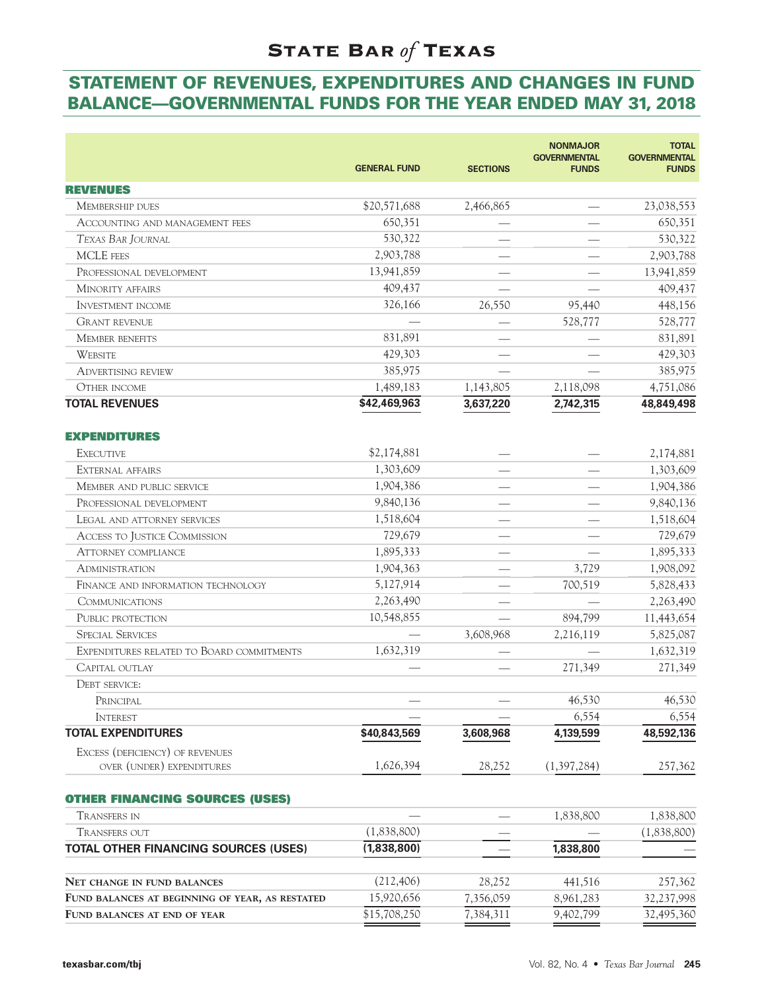### **STATEMENT OF REVENUES, EXPENDITURES AND CHANGES IN FUND BALANCE—GOVERNMENTAL FUNDS FOR THE YEAR ENDED MAY 31, 2018**

| <b>REVENUES</b><br>\$20,571,688<br>23,038,553<br>2,466,865<br><b>MEMBERSHIP DUES</b><br>650,351<br>650,351<br><b>ACCOUNTING AND MANAGEMENT FEES</b><br>530,322<br>530,322<br>TEXAS BAR JOURNAL<br>2,903,788<br>2,903,788<br><b>MCLE</b> FEES<br>13,941,859<br>13,941,859<br>PROFESSIONAL DEVELOPMENT<br>409,437<br><b>MINORITY AFFAIRS</b><br>409,437<br>326,166<br>26,550<br>448,156<br>95,440<br><b>INVESTMENT INCOME</b><br>528,777<br><b>GRANT REVENUE</b><br>528,777<br>831,891<br><b>MEMBER BENEFITS</b><br>831,891<br>429,303<br>429,303<br><b>WEBSITE</b><br>385,975<br>385,975<br><b>ADVERTISING REVIEW</b><br>1,489,183<br><b>OTHER INCOME</b><br>1,143,805<br>2,118,098<br>4,751,086<br>\$42,469,963<br>3,637,220<br>2,742,315<br>48,849,498<br>\$2,174,881<br>2,174,881<br><b>EXECUTIVE</b><br>1,303,609<br>1,303,609<br>EXTERNAL AFFAIRS<br>1,904,386<br>1,904,386<br>MEMBER AND PUBLIC SERVICE<br>9,840,136<br>9,840,136<br>PROFESSIONAL DEVELOPMENT<br>1,518,604<br>1,518,604<br>LEGAL AND ATTORNEY SERVICES<br>729,679<br>729,679<br>ACCESS TO JUSTICE COMMISSION<br>1,895,333<br>1,895,333<br><b>ATTORNEY COMPLIANCE</b><br>1,904,363<br>3,729<br>1,908,092<br><b>ADMINISTRATION</b><br>5,127,914<br>700,519<br>5,828,433<br>FINANCE AND INFORMATION TECHNOLOGY<br>2,263,490<br>2,263,490<br><b>COMMUNICATIONS</b><br>PUBLIC PROTECTION<br>10,548,855<br>894,799<br>11,443,654<br><b>SPECIAL SERVICES</b><br>3,608,968<br>5,825,087<br>2,216,119<br>1,632,319<br>1,632,319<br>EXPENDITURES RELATED TO BOARD COMMITMENTS<br>271,349<br>CAPITAL OUTLAY<br>271,349<br><b>DEBT SERVICE:</b><br>46,530<br>46,530<br>PRINCIPAL<br>6,554<br>6,554<br><b>INTEREST</b><br><b>TOTAL EXPENDITURES</b><br>\$40,843,569<br>3,608,968<br>4,139,599<br>48,592,136<br>EXCESS (DEFICIENCY) OF REVENUES<br>OVER (UNDER) EXPENDITURES<br>1,626,394<br>28,252<br>(1,397,284)<br>257,362<br><b>OTHER FINANCING SOURCES (USES)</b><br>1,838,800<br>1,838,800<br><b>TRANSFERS IN</b><br>(1,838,800)<br><b>TRANSFERS OUT</b><br>(1,838,800)<br>1,838,800<br>TOTAL OTHER FINANCING SOURCES (USES)<br>(1,838,800)<br>(212, 406)<br>28,252<br>441,516<br>257,362<br>NET CHANGE IN FUND BALANCES<br>15,920,656<br>7,356,059<br>8,961,283<br>32,237,998<br>FUND BALANCES AT BEGINNING OF YEAR, AS RESTATED<br>\$15,708,250<br>7,384,311<br>9,402,799<br>32,495,360<br>FUND BALANCES AT END OF YEAR |                       | <b>GENERAL FUND</b> | <b>SECTIONS</b> | <b>NONMAJOR</b><br><b>GOVERNMENTAL</b><br><b>FUNDS</b> | <b>TOTAL</b><br><b>GOVERNMENTAL</b><br><b>FUNDS</b> |
|----------------------------------------------------------------------------------------------------------------------------------------------------------------------------------------------------------------------------------------------------------------------------------------------------------------------------------------------------------------------------------------------------------------------------------------------------------------------------------------------------------------------------------------------------------------------------------------------------------------------------------------------------------------------------------------------------------------------------------------------------------------------------------------------------------------------------------------------------------------------------------------------------------------------------------------------------------------------------------------------------------------------------------------------------------------------------------------------------------------------------------------------------------------------------------------------------------------------------------------------------------------------------------------------------------------------------------------------------------------------------------------------------------------------------------------------------------------------------------------------------------------------------------------------------------------------------------------------------------------------------------------------------------------------------------------------------------------------------------------------------------------------------------------------------------------------------------------------------------------------------------------------------------------------------------------------------------------------------------------------------------------------------------------------------------------------------------------------------------------------------------------------------------------------------------------------------------------------------------------------------------------------------------------------------------------------------------------------------------------------------------------|-----------------------|---------------------|-----------------|--------------------------------------------------------|-----------------------------------------------------|
|                                                                                                                                                                                                                                                                                                                                                                                                                                                                                                                                                                                                                                                                                                                                                                                                                                                                                                                                                                                                                                                                                                                                                                                                                                                                                                                                                                                                                                                                                                                                                                                                                                                                                                                                                                                                                                                                                                                                                                                                                                                                                                                                                                                                                                                                                                                                                                                        |                       |                     |                 |                                                        |                                                     |
|                                                                                                                                                                                                                                                                                                                                                                                                                                                                                                                                                                                                                                                                                                                                                                                                                                                                                                                                                                                                                                                                                                                                                                                                                                                                                                                                                                                                                                                                                                                                                                                                                                                                                                                                                                                                                                                                                                                                                                                                                                                                                                                                                                                                                                                                                                                                                                                        |                       |                     |                 |                                                        |                                                     |
|                                                                                                                                                                                                                                                                                                                                                                                                                                                                                                                                                                                                                                                                                                                                                                                                                                                                                                                                                                                                                                                                                                                                                                                                                                                                                                                                                                                                                                                                                                                                                                                                                                                                                                                                                                                                                                                                                                                                                                                                                                                                                                                                                                                                                                                                                                                                                                                        |                       |                     |                 |                                                        |                                                     |
|                                                                                                                                                                                                                                                                                                                                                                                                                                                                                                                                                                                                                                                                                                                                                                                                                                                                                                                                                                                                                                                                                                                                                                                                                                                                                                                                                                                                                                                                                                                                                                                                                                                                                                                                                                                                                                                                                                                                                                                                                                                                                                                                                                                                                                                                                                                                                                                        |                       |                     |                 |                                                        |                                                     |
|                                                                                                                                                                                                                                                                                                                                                                                                                                                                                                                                                                                                                                                                                                                                                                                                                                                                                                                                                                                                                                                                                                                                                                                                                                                                                                                                                                                                                                                                                                                                                                                                                                                                                                                                                                                                                                                                                                                                                                                                                                                                                                                                                                                                                                                                                                                                                                                        |                       |                     |                 |                                                        |                                                     |
|                                                                                                                                                                                                                                                                                                                                                                                                                                                                                                                                                                                                                                                                                                                                                                                                                                                                                                                                                                                                                                                                                                                                                                                                                                                                                                                                                                                                                                                                                                                                                                                                                                                                                                                                                                                                                                                                                                                                                                                                                                                                                                                                                                                                                                                                                                                                                                                        |                       |                     |                 |                                                        |                                                     |
|                                                                                                                                                                                                                                                                                                                                                                                                                                                                                                                                                                                                                                                                                                                                                                                                                                                                                                                                                                                                                                                                                                                                                                                                                                                                                                                                                                                                                                                                                                                                                                                                                                                                                                                                                                                                                                                                                                                                                                                                                                                                                                                                                                                                                                                                                                                                                                                        |                       |                     |                 |                                                        |                                                     |
|                                                                                                                                                                                                                                                                                                                                                                                                                                                                                                                                                                                                                                                                                                                                                                                                                                                                                                                                                                                                                                                                                                                                                                                                                                                                                                                                                                                                                                                                                                                                                                                                                                                                                                                                                                                                                                                                                                                                                                                                                                                                                                                                                                                                                                                                                                                                                                                        |                       |                     |                 |                                                        |                                                     |
|                                                                                                                                                                                                                                                                                                                                                                                                                                                                                                                                                                                                                                                                                                                                                                                                                                                                                                                                                                                                                                                                                                                                                                                                                                                                                                                                                                                                                                                                                                                                                                                                                                                                                                                                                                                                                                                                                                                                                                                                                                                                                                                                                                                                                                                                                                                                                                                        |                       |                     |                 |                                                        |                                                     |
|                                                                                                                                                                                                                                                                                                                                                                                                                                                                                                                                                                                                                                                                                                                                                                                                                                                                                                                                                                                                                                                                                                                                                                                                                                                                                                                                                                                                                                                                                                                                                                                                                                                                                                                                                                                                                                                                                                                                                                                                                                                                                                                                                                                                                                                                                                                                                                                        |                       |                     |                 |                                                        |                                                     |
|                                                                                                                                                                                                                                                                                                                                                                                                                                                                                                                                                                                                                                                                                                                                                                                                                                                                                                                                                                                                                                                                                                                                                                                                                                                                                                                                                                                                                                                                                                                                                                                                                                                                                                                                                                                                                                                                                                                                                                                                                                                                                                                                                                                                                                                                                                                                                                                        |                       |                     |                 |                                                        |                                                     |
|                                                                                                                                                                                                                                                                                                                                                                                                                                                                                                                                                                                                                                                                                                                                                                                                                                                                                                                                                                                                                                                                                                                                                                                                                                                                                                                                                                                                                                                                                                                                                                                                                                                                                                                                                                                                                                                                                                                                                                                                                                                                                                                                                                                                                                                                                                                                                                                        |                       |                     |                 |                                                        |                                                     |
|                                                                                                                                                                                                                                                                                                                                                                                                                                                                                                                                                                                                                                                                                                                                                                                                                                                                                                                                                                                                                                                                                                                                                                                                                                                                                                                                                                                                                                                                                                                                                                                                                                                                                                                                                                                                                                                                                                                                                                                                                                                                                                                                                                                                                                                                                                                                                                                        |                       |                     |                 |                                                        |                                                     |
|                                                                                                                                                                                                                                                                                                                                                                                                                                                                                                                                                                                                                                                                                                                                                                                                                                                                                                                                                                                                                                                                                                                                                                                                                                                                                                                                                                                                                                                                                                                                                                                                                                                                                                                                                                                                                                                                                                                                                                                                                                                                                                                                                                                                                                                                                                                                                                                        | <b>TOTAL REVENUES</b> |                     |                 |                                                        |                                                     |
|                                                                                                                                                                                                                                                                                                                                                                                                                                                                                                                                                                                                                                                                                                                                                                                                                                                                                                                                                                                                                                                                                                                                                                                                                                                                                                                                                                                                                                                                                                                                                                                                                                                                                                                                                                                                                                                                                                                                                                                                                                                                                                                                                                                                                                                                                                                                                                                        | <b>EXPENDITURES</b>   |                     |                 |                                                        |                                                     |
|                                                                                                                                                                                                                                                                                                                                                                                                                                                                                                                                                                                                                                                                                                                                                                                                                                                                                                                                                                                                                                                                                                                                                                                                                                                                                                                                                                                                                                                                                                                                                                                                                                                                                                                                                                                                                                                                                                                                                                                                                                                                                                                                                                                                                                                                                                                                                                                        |                       |                     |                 |                                                        |                                                     |
|                                                                                                                                                                                                                                                                                                                                                                                                                                                                                                                                                                                                                                                                                                                                                                                                                                                                                                                                                                                                                                                                                                                                                                                                                                                                                                                                                                                                                                                                                                                                                                                                                                                                                                                                                                                                                                                                                                                                                                                                                                                                                                                                                                                                                                                                                                                                                                                        |                       |                     |                 |                                                        |                                                     |
|                                                                                                                                                                                                                                                                                                                                                                                                                                                                                                                                                                                                                                                                                                                                                                                                                                                                                                                                                                                                                                                                                                                                                                                                                                                                                                                                                                                                                                                                                                                                                                                                                                                                                                                                                                                                                                                                                                                                                                                                                                                                                                                                                                                                                                                                                                                                                                                        |                       |                     |                 |                                                        |                                                     |
|                                                                                                                                                                                                                                                                                                                                                                                                                                                                                                                                                                                                                                                                                                                                                                                                                                                                                                                                                                                                                                                                                                                                                                                                                                                                                                                                                                                                                                                                                                                                                                                                                                                                                                                                                                                                                                                                                                                                                                                                                                                                                                                                                                                                                                                                                                                                                                                        |                       |                     |                 |                                                        |                                                     |
|                                                                                                                                                                                                                                                                                                                                                                                                                                                                                                                                                                                                                                                                                                                                                                                                                                                                                                                                                                                                                                                                                                                                                                                                                                                                                                                                                                                                                                                                                                                                                                                                                                                                                                                                                                                                                                                                                                                                                                                                                                                                                                                                                                                                                                                                                                                                                                                        |                       |                     |                 |                                                        |                                                     |
|                                                                                                                                                                                                                                                                                                                                                                                                                                                                                                                                                                                                                                                                                                                                                                                                                                                                                                                                                                                                                                                                                                                                                                                                                                                                                                                                                                                                                                                                                                                                                                                                                                                                                                                                                                                                                                                                                                                                                                                                                                                                                                                                                                                                                                                                                                                                                                                        |                       |                     |                 |                                                        |                                                     |
|                                                                                                                                                                                                                                                                                                                                                                                                                                                                                                                                                                                                                                                                                                                                                                                                                                                                                                                                                                                                                                                                                                                                                                                                                                                                                                                                                                                                                                                                                                                                                                                                                                                                                                                                                                                                                                                                                                                                                                                                                                                                                                                                                                                                                                                                                                                                                                                        |                       |                     |                 |                                                        |                                                     |
|                                                                                                                                                                                                                                                                                                                                                                                                                                                                                                                                                                                                                                                                                                                                                                                                                                                                                                                                                                                                                                                                                                                                                                                                                                                                                                                                                                                                                                                                                                                                                                                                                                                                                                                                                                                                                                                                                                                                                                                                                                                                                                                                                                                                                                                                                                                                                                                        |                       |                     |                 |                                                        |                                                     |
|                                                                                                                                                                                                                                                                                                                                                                                                                                                                                                                                                                                                                                                                                                                                                                                                                                                                                                                                                                                                                                                                                                                                                                                                                                                                                                                                                                                                                                                                                                                                                                                                                                                                                                                                                                                                                                                                                                                                                                                                                                                                                                                                                                                                                                                                                                                                                                                        |                       |                     |                 |                                                        |                                                     |
|                                                                                                                                                                                                                                                                                                                                                                                                                                                                                                                                                                                                                                                                                                                                                                                                                                                                                                                                                                                                                                                                                                                                                                                                                                                                                                                                                                                                                                                                                                                                                                                                                                                                                                                                                                                                                                                                                                                                                                                                                                                                                                                                                                                                                                                                                                                                                                                        |                       |                     |                 |                                                        |                                                     |
|                                                                                                                                                                                                                                                                                                                                                                                                                                                                                                                                                                                                                                                                                                                                                                                                                                                                                                                                                                                                                                                                                                                                                                                                                                                                                                                                                                                                                                                                                                                                                                                                                                                                                                                                                                                                                                                                                                                                                                                                                                                                                                                                                                                                                                                                                                                                                                                        |                       |                     |                 |                                                        |                                                     |
|                                                                                                                                                                                                                                                                                                                                                                                                                                                                                                                                                                                                                                                                                                                                                                                                                                                                                                                                                                                                                                                                                                                                                                                                                                                                                                                                                                                                                                                                                                                                                                                                                                                                                                                                                                                                                                                                                                                                                                                                                                                                                                                                                                                                                                                                                                                                                                                        |                       |                     |                 |                                                        |                                                     |
|                                                                                                                                                                                                                                                                                                                                                                                                                                                                                                                                                                                                                                                                                                                                                                                                                                                                                                                                                                                                                                                                                                                                                                                                                                                                                                                                                                                                                                                                                                                                                                                                                                                                                                                                                                                                                                                                                                                                                                                                                                                                                                                                                                                                                                                                                                                                                                                        |                       |                     |                 |                                                        |                                                     |
|                                                                                                                                                                                                                                                                                                                                                                                                                                                                                                                                                                                                                                                                                                                                                                                                                                                                                                                                                                                                                                                                                                                                                                                                                                                                                                                                                                                                                                                                                                                                                                                                                                                                                                                                                                                                                                                                                                                                                                                                                                                                                                                                                                                                                                                                                                                                                                                        |                       |                     |                 |                                                        |                                                     |
|                                                                                                                                                                                                                                                                                                                                                                                                                                                                                                                                                                                                                                                                                                                                                                                                                                                                                                                                                                                                                                                                                                                                                                                                                                                                                                                                                                                                                                                                                                                                                                                                                                                                                                                                                                                                                                                                                                                                                                                                                                                                                                                                                                                                                                                                                                                                                                                        |                       |                     |                 |                                                        |                                                     |
|                                                                                                                                                                                                                                                                                                                                                                                                                                                                                                                                                                                                                                                                                                                                                                                                                                                                                                                                                                                                                                                                                                                                                                                                                                                                                                                                                                                                                                                                                                                                                                                                                                                                                                                                                                                                                                                                                                                                                                                                                                                                                                                                                                                                                                                                                                                                                                                        |                       |                     |                 |                                                        |                                                     |
|                                                                                                                                                                                                                                                                                                                                                                                                                                                                                                                                                                                                                                                                                                                                                                                                                                                                                                                                                                                                                                                                                                                                                                                                                                                                                                                                                                                                                                                                                                                                                                                                                                                                                                                                                                                                                                                                                                                                                                                                                                                                                                                                                                                                                                                                                                                                                                                        |                       |                     |                 |                                                        |                                                     |
|                                                                                                                                                                                                                                                                                                                                                                                                                                                                                                                                                                                                                                                                                                                                                                                                                                                                                                                                                                                                                                                                                                                                                                                                                                                                                                                                                                                                                                                                                                                                                                                                                                                                                                                                                                                                                                                                                                                                                                                                                                                                                                                                                                                                                                                                                                                                                                                        |                       |                     |                 |                                                        |                                                     |
|                                                                                                                                                                                                                                                                                                                                                                                                                                                                                                                                                                                                                                                                                                                                                                                                                                                                                                                                                                                                                                                                                                                                                                                                                                                                                                                                                                                                                                                                                                                                                                                                                                                                                                                                                                                                                                                                                                                                                                                                                                                                                                                                                                                                                                                                                                                                                                                        |                       |                     |                 |                                                        |                                                     |
|                                                                                                                                                                                                                                                                                                                                                                                                                                                                                                                                                                                                                                                                                                                                                                                                                                                                                                                                                                                                                                                                                                                                                                                                                                                                                                                                                                                                                                                                                                                                                                                                                                                                                                                                                                                                                                                                                                                                                                                                                                                                                                                                                                                                                                                                                                                                                                                        |                       |                     |                 |                                                        |                                                     |
|                                                                                                                                                                                                                                                                                                                                                                                                                                                                                                                                                                                                                                                                                                                                                                                                                                                                                                                                                                                                                                                                                                                                                                                                                                                                                                                                                                                                                                                                                                                                                                                                                                                                                                                                                                                                                                                                                                                                                                                                                                                                                                                                                                                                                                                                                                                                                                                        |                       |                     |                 |                                                        |                                                     |
|                                                                                                                                                                                                                                                                                                                                                                                                                                                                                                                                                                                                                                                                                                                                                                                                                                                                                                                                                                                                                                                                                                                                                                                                                                                                                                                                                                                                                                                                                                                                                                                                                                                                                                                                                                                                                                                                                                                                                                                                                                                                                                                                                                                                                                                                                                                                                                                        |                       |                     |                 |                                                        |                                                     |
|                                                                                                                                                                                                                                                                                                                                                                                                                                                                                                                                                                                                                                                                                                                                                                                                                                                                                                                                                                                                                                                                                                                                                                                                                                                                                                                                                                                                                                                                                                                                                                                                                                                                                                                                                                                                                                                                                                                                                                                                                                                                                                                                                                                                                                                                                                                                                                                        |                       |                     |                 |                                                        |                                                     |
|                                                                                                                                                                                                                                                                                                                                                                                                                                                                                                                                                                                                                                                                                                                                                                                                                                                                                                                                                                                                                                                                                                                                                                                                                                                                                                                                                                                                                                                                                                                                                                                                                                                                                                                                                                                                                                                                                                                                                                                                                                                                                                                                                                                                                                                                                                                                                                                        |                       |                     |                 |                                                        |                                                     |
|                                                                                                                                                                                                                                                                                                                                                                                                                                                                                                                                                                                                                                                                                                                                                                                                                                                                                                                                                                                                                                                                                                                                                                                                                                                                                                                                                                                                                                                                                                                                                                                                                                                                                                                                                                                                                                                                                                                                                                                                                                                                                                                                                                                                                                                                                                                                                                                        |                       |                     |                 |                                                        |                                                     |
|                                                                                                                                                                                                                                                                                                                                                                                                                                                                                                                                                                                                                                                                                                                                                                                                                                                                                                                                                                                                                                                                                                                                                                                                                                                                                                                                                                                                                                                                                                                                                                                                                                                                                                                                                                                                                                                                                                                                                                                                                                                                                                                                                                                                                                                                                                                                                                                        |                       |                     |                 |                                                        |                                                     |
|                                                                                                                                                                                                                                                                                                                                                                                                                                                                                                                                                                                                                                                                                                                                                                                                                                                                                                                                                                                                                                                                                                                                                                                                                                                                                                                                                                                                                                                                                                                                                                                                                                                                                                                                                                                                                                                                                                                                                                                                                                                                                                                                                                                                                                                                                                                                                                                        |                       |                     |                 |                                                        |                                                     |